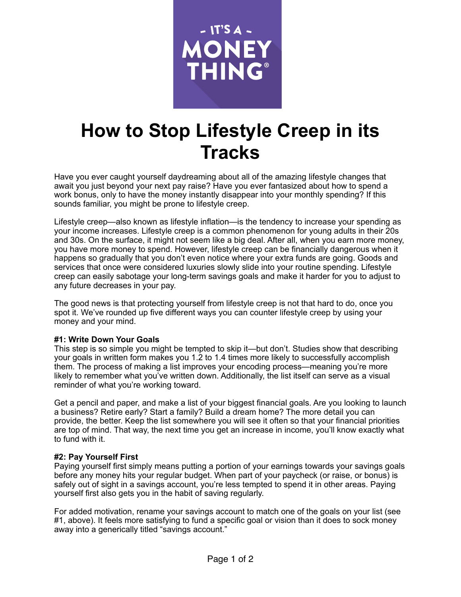

# **How to Stop Lifestyle Creep in its Tracks**

Have you ever caught yourself daydreaming about all of the amazing lifestyle changes that await you just beyond your next pay raise? Have you ever fantasized about how to spend a work bonus, only to have the money instantly disappear into your monthly spending? If this sounds familiar, you might be prone to lifestyle creep.

Lifestyle creep—also known as lifestyle inflation—is the tendency to increase your spending as your income increases. Lifestyle creep is a common phenomenon for young adults in their 20s and 30s. On the surface, it might not seem like a big deal. After all, when you earn more money, you have more money to spend. However, lifestyle creep can be financially dangerous when it happens so gradually that you don't even notice where your extra funds are going. Goods and services that once were considered luxuries slowly slide into your routine spending. Lifestyle creep can easily sabotage your long-term savings goals and make it harder for you to adjust to any future decreases in your pay.

The good news is that protecting yourself from lifestyle creep is not that hard to do, once you spot it. We've rounded up five different ways you can counter lifestyle creep by using your money and your mind.

### **#1: Write Down Your Goals**

This step is so simple you might be tempted to skip it—but don't. Studies show that describing your goals in written form makes you 1.2 to 1.4 times more likely to successfully accomplish them. The process of making a list improves your encoding process—meaning you're more likely to remember what you've written down. Additionally, the list itself can serve as a visual reminder of what you're working toward.

Get a pencil and paper, and make a list of your biggest financial goals. Are you looking to launch a business? Retire early? Start a family? Build a dream home? The more detail you can provide, the better. Keep the list somewhere you will see it often so that your financial priorities are top of mind. That way, the next time you get an increase in income, you'll know exactly what to fund with it.

### **#2: Pay Yourself First**

Paying yourself first simply means putting a portion of your earnings towards your savings goals before any money hits your regular budget. When part of your paycheck (or raise, or bonus) is safely out of sight in a savings account, you're less tempted to spend it in other areas. Paying yourself first also gets you in the habit of saving regularly.

For added motivation, rename your savings account to match one of the goals on your list (see #1, above). It feels more satisfying to fund a specific goal or vision than it does to sock money away into a generically titled "savings account."